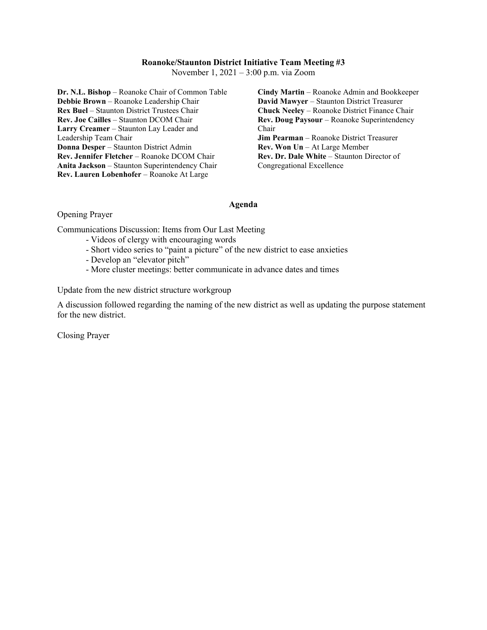## **Roanoke/Staunton District Initiative Team Meeting #3**

November 1, 2021 – 3:00 p.m. via Zoom

**Dr. N.L. Bishop** – Roanoke Chair of Common Table **Debbie Brown** – Roanoke Leadership Chair **Rex Buel** – Staunton District Trustees Chair **Rev. Joe Cailles** – Staunton DCOM Chair **Larry Creamer** – Staunton Lay Leader and Leadership Team Chair **Donna Desper** – Staunton District Admin **Rev. Jennifer Fletcher** – Roanoke DCOM Chair **Anita Jackson** – Staunton Superintendency Chair **Rev. Lauren Lobenhofer** – Roanoke At Large

**Cindy Martin** – Roanoke Admin and Bookkeeper **David Mawyer** – Staunton District Treasurer **Chuck Neeley** – Roanoke District Finance Chair **Rev. Doug Paysour** – Roanoke Superintendency Chair **Jim Pearman** – Roanoke District Treasurer **Rev. Won Un** – At Large Member **Rev. Dr. Dale White** – Staunton Director of Congregational Excellence

## **Agenda**

Opening Prayer

Communications Discussion: Items from Our Last Meeting

- Videos of clergy with encouraging words
- Short video series to "paint a picture" of the new district to ease anxieties
- Develop an "elevator pitch"
- More cluster meetings: better communicate in advance dates and times

Update from the new district structure workgroup

A discussion followed regarding the naming of the new district as well as updating the purpose statement for the new district.

Closing Prayer